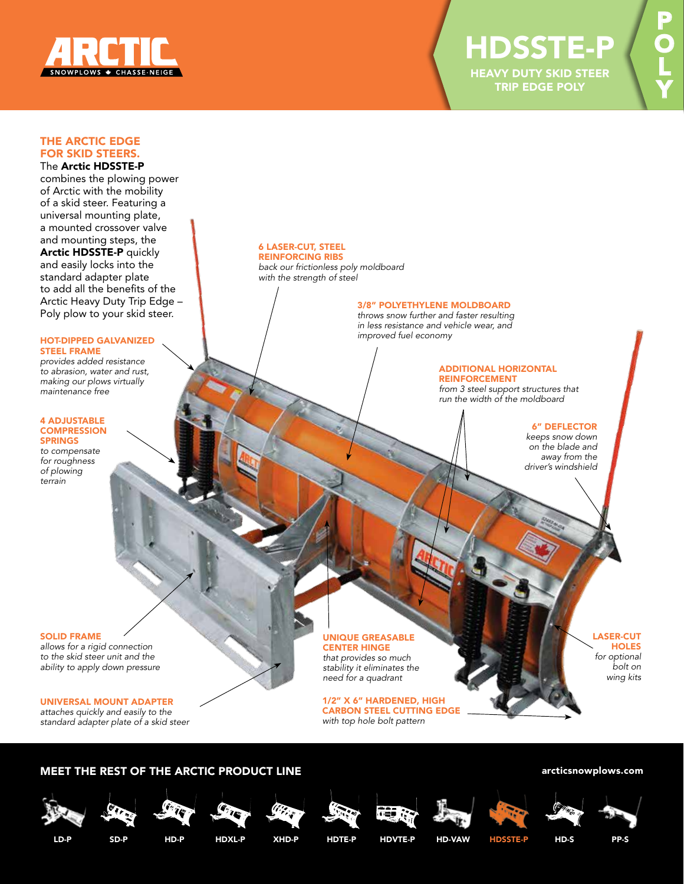

P

O

L

Y

# THE ARCTIC EDGE FOR SKID STEERS.

# The Arctic HDSSTE-P

combines the plowing power of Arctic with the mobility of a skid steer. Featuring a universal mounting plate, a mounted crossover valve and mounting steps, the Arctic HDSSTE-P quickly and easily locks into the standard adapter plate to add all the benefits of the Arctic Heavy Duty Trip Edge – Poly plow to your skid steer.

#### HOT-DIPPED GALVANIZED STEEL FRAME

*provides added resistance to abrasion, water and rust, making our plows virtually maintenance free*

#### 4 ADJUSTABLE **COMPRESSION** SPRINGS *to compensate*

*for roughness of plowing terrain*

## SOLID FRAME

*allows for a rigid connection to the skid steer unit and the ability to apply down pressure*

## UNIVERSAL MOUNT ADAPTER

*attaches quickly and easily to the standard adapter plate of a skid steer*

#### 6 LASER-CUT, STEEL REINFORCING RIBS

*back our frictionless poly moldboard with the strength of steel*

## 3/8" POLYETHYLENE MOLDBOARD

*throws snow further and faster resulting in less resistance and vehicle wear, and improved fuel economy*

#### ADDITIONAL HORIZONTAL REINFORCEMENT

*from 3 steel support structures that run the width of the moldboard*

## 6" DEFLECTOR

*keeps snow down on the blade and away from the driver's windshield*

UNIQUE GREASABLE CENTER HINGE

*that provides so much stability it eliminates the need for a quadrant*

1/2" X 6" HARDENED, HIGH CARBON STEEL CUTTING EDGE *with top hole bolt pattern*

LASER-CUT **HOLES** *for optional bolt on wing kits*

# MEET THE REST OF THE ARCTIC PRODUCT LINE **ARCISIS ACTION** Arcticsnowplows.com













LD-P SD-P HD-P HDXL-P XHD-P HDTE-P HDVTE-P HD-VAW HDSSTE-P HD-S PP-S